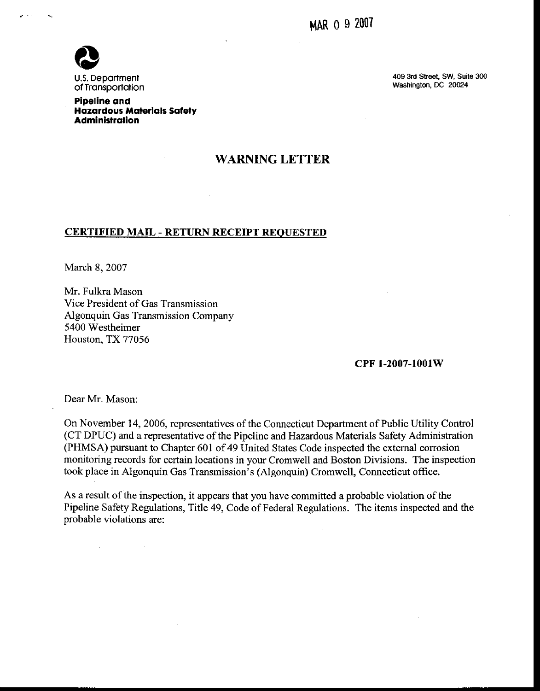

Pipeline ond Hazardous Materials Safety Administrotion

409 3rd Street, SW, Suite 300 Washington, DC 2Q024

## WARNING LETTER

## CERTIFIED MAIL - RETURN RECEIPT REOUESTED

March 8, 2007

Mr. Fulkra Mason Vice President of Gas Transmission Algonquin Gas Transmission Company 5400 Westheimer Houston, TX 77056

## cPF 1-2007-1001W

Dear Mr. Mason:

On November 14, 2006, representatives of the Connecticut Department of Public Utility Control (CT DPUC) and a representative of the Pipeline and Hazmdous Materials Safety Administration (PHMSA) pursuant to Chapter 601 of 49 United States Code inspected the external corrosion monitoring records for certain locations in your Cromwell and Boston Divisions. The inspection took place in Algonquin Gas Transmission's (Algonquin) Cromwell, Connecticut office.

As a result of the inspection, it appears that you have committed a probable violation of the Pipeline Safety Regulations, Title 49, Code of Federal Regulations. The items inspected and the probable violations are: